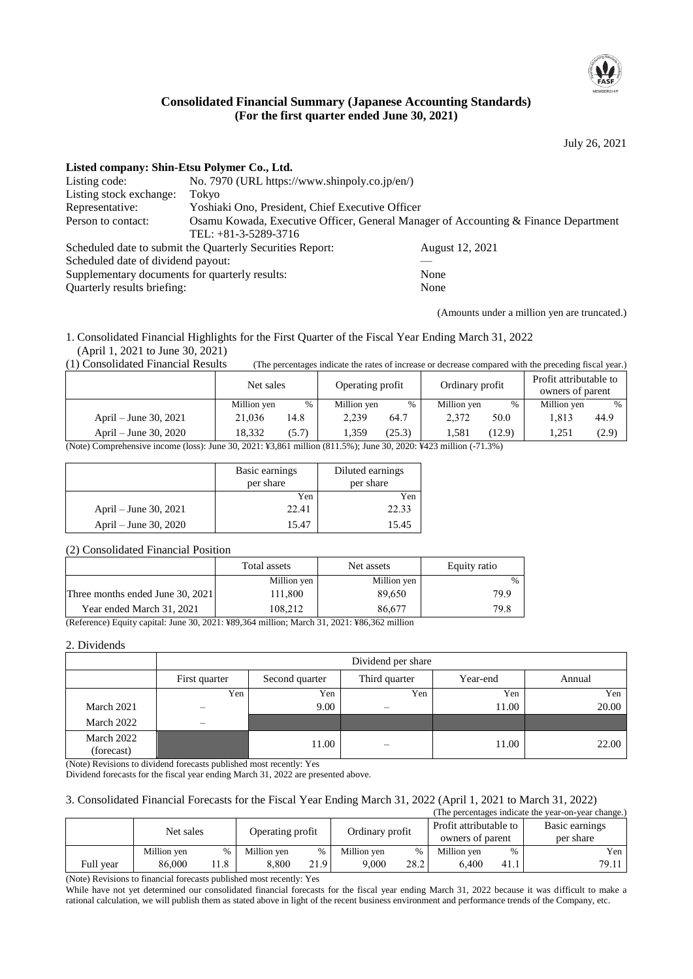

# **Consolidated Financial Summary (Japanese Accounting Standards) (For the first quarter ended June 30, 2021)**

July 26, 2021

# **Listed company: Shin-Etsu Polymer Co., Ltd.**

| No. 7970 (URL https://www.shinpoly.co.jp/en/)                                       |                                                                                                                                                                                  |  |  |  |  |
|-------------------------------------------------------------------------------------|----------------------------------------------------------------------------------------------------------------------------------------------------------------------------------|--|--|--|--|
| Tokvo                                                                               |                                                                                                                                                                                  |  |  |  |  |
| Yoshiaki Ono, President, Chief Executive Officer                                    |                                                                                                                                                                                  |  |  |  |  |
| Osamu Kowada, Executive Officer, General Manager of Accounting & Finance Department |                                                                                                                                                                                  |  |  |  |  |
| TEL: $+81-3-5289-3716$                                                              |                                                                                                                                                                                  |  |  |  |  |
|                                                                                     | August 12, 2021                                                                                                                                                                  |  |  |  |  |
|                                                                                     |                                                                                                                                                                                  |  |  |  |  |
|                                                                                     | None                                                                                                                                                                             |  |  |  |  |
|                                                                                     | None                                                                                                                                                                             |  |  |  |  |
|                                                                                     | Scheduled date to submit the Quarterly Securities Report:<br>Scheduled date of dividend payout:<br>Supplementary documents for quarterly results:<br>Quarterly results briefing: |  |  |  |  |

(Amounts under a million yen are truncated.)

1. Consolidated Financial Highlights for the First Quarter of the Fiscal Year Ending March 31, 2022 (April 1, 2021 to June 30, 2021)<br>(1) Consolidated Financial Results

(The percentages indicate the rates of increase or decrease compared with the preceding fiscal year.)

|                                                                                                                  | Net sales   |       | Operating profit |        | Ordinary profit |        | Profit attributable to<br>owners of parent |       |
|------------------------------------------------------------------------------------------------------------------|-------------|-------|------------------|--------|-----------------|--------|--------------------------------------------|-------|
|                                                                                                                  | Million yen | %     | Million yen      | %      | Million yen     | %      | Million yen                                | $\%$  |
| April – June 30, 2021                                                                                            | 21.036      | 14.8  | 2.239            | 64.7   | 2.372           | 50.0   | 1.813                                      | 44.9  |
| April – June 30, 2020                                                                                            | 18.332      | (5.7) | 1.359            | (25.3) | 1.581           | (12.9) | .251                                       | (2.9) |
| (Note) Compushangive income (loss): June 20, 2021, V2.961 million (911.50): June 20, 2020; V422 million (.71.20) |             |       |                  |        |                 |        |                                            |       |

(Note) Comprehensive income (loss): June 30, 2021: ¥3,861 million (811.5%); June 30, 2020: ¥423 million (-71.3%)

|                       | Basic earnings<br>per share | Diluted earnings<br>per share |
|-----------------------|-----------------------------|-------------------------------|
|                       | Yen                         | Yen                           |
| April – June 30, 2021 | 22.41                       | 22.33                         |
| April – June 30, 2020 | 15.47                       | 15.45                         |

#### (2) Consolidated Financial Position

|                                  | Total assets | Net assets  | Equity ratio  |
|----------------------------------|--------------|-------------|---------------|
|                                  | Million yen  | Million yen | $\frac{0}{0}$ |
| Three months ended June 30, 2021 | 111,800      | 89.650      | 79.9          |
| Year ended March 31, 2021        | 108.212      | 86.677      | 79.8          |

(Reference) Equity capital: June 30, 2021: ¥89,364 million; March 31, 2021: ¥86,362 million

#### 2. Dividends

|                          |               |                | Dividend per share |          |        |
|--------------------------|---------------|----------------|--------------------|----------|--------|
|                          | First quarter | Second quarter | Third quarter      | Year-end | Annual |
|                          | Yen           | Yen            | Yen                | Yen      | Yen    |
| March 2021               |               | 9.00           |                    | 11.00    | 20.00  |
| March 2022               | -             |                |                    |          |        |
| March 2022<br>(forecast) |               | 11.00          |                    | 11.00    | 22.00  |

(Note) Revisions to dividend forecasts published most recently: Yes

Dividend forecasts for the fiscal year ending March 31, 2022 are presented above.

#### 3. Consolidated Financial Forecasts for the Fiscal Year Ending March 31, 2022 (April 1, 2021 to March 31, 2022)

|           |             |      |                  |      |                 |      |                                            |      | (The percentages indicate the year-on-year change.) |
|-----------|-------------|------|------------------|------|-----------------|------|--------------------------------------------|------|-----------------------------------------------------|
|           | Net sales   |      | Operating profit |      | Ordinary profit |      | Profit attributable to<br>owners of parent |      | Basic earnings<br>per share                         |
|           | Million yen | $\%$ | Million yen      | %    | Million yen     |      | Million yen                                | $\%$ | Yen 1                                               |
| Full year | 86.000      | !1.8 | 8.800            | 21.9 | 9.000           | 28.2 | 6.400                                      | 41.1 | 79.11                                               |

(Note) Revisions to financial forecasts published most recently: Yes

While have not yet determined our consolidated financial forecasts for the fiscal year ending March 31, 2022 because it was difficult to make a rational calculation, we will publish them as stated above in light of the recent business environment and performance trends of the Company, etc.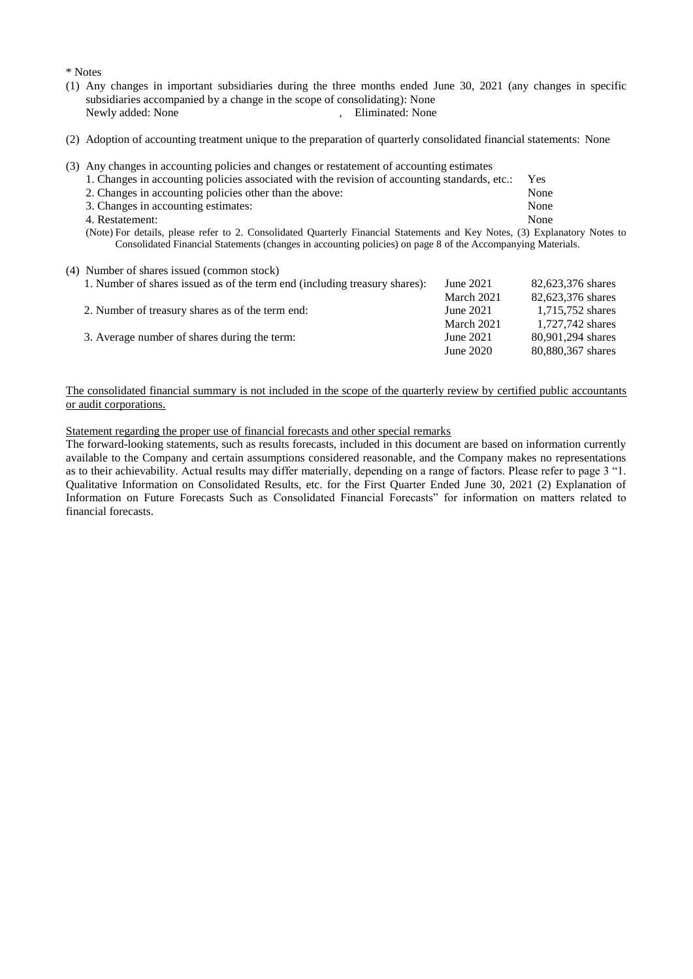\* Notes

- (1) Any changes in important subsidiaries during the three months ended June 30, 2021 (any changes in specific subsidiaries accompanied by a change in the scope of consolidating): None<br>Newly added: None<br>Fliminated: None , Eliminated: None
- (2) Adoption of accounting treatment unique to the preparation of quarterly consolidated financial statements: None
- (3) Any changes in accounting policies and changes or restatement of accounting estimates

| 1. Changes in accounting policies associated with the revision of accounting standards, etc.:                              |  |                                                                                                             | Yes  |  |
|----------------------------------------------------------------------------------------------------------------------------|--|-------------------------------------------------------------------------------------------------------------|------|--|
| 2. Changes in accounting policies other than the above:                                                                    |  |                                                                                                             | None |  |
| 3. Changes in accounting estimates:                                                                                        |  |                                                                                                             | None |  |
| 4. Restatement:                                                                                                            |  |                                                                                                             | None |  |
| (Note) For details, please refer to 2. Consolidated Quarterly Financial Statements and Key Notes, (3) Explanatory Notes to |  |                                                                                                             |      |  |
|                                                                                                                            |  | Consolidated Financial Statements (changes in accounting policies) on page 8 of the Accompanying Materials. |      |  |

#### (4) Number of shares issued (common stock)

| 1. Number of shares issued as of the term end (including treasury shares): | June $2021$ | 82,623,376 shares |
|----------------------------------------------------------------------------|-------------|-------------------|
|                                                                            | March 2021  | 82,623,376 shares |
| 2. Number of treasury shares as of the term end:                           | June 2021   | 1,715,752 shares  |
|                                                                            | March 2021  | 1,727,742 shares  |
| 3. Average number of shares during the term:                               | June 2021   | 80,901,294 shares |
|                                                                            | June 2020   | 80,880,367 shares |

#### The consolidated financial summary is not included in the scope of the quarterly review by certified public accountants or audit corporations.

Statement regarding the proper use of financial forecasts and other special remarks

The forward-looking statements, such as results forecasts, included in this document are based on information currently available to the Company and certain assumptions considered reasonable, and the Company makes no representations as to their achievability. Actual results may differ materially, depending on a range of factors. Please refer to page 3 "1. Qualitative Information on Consolidated Results, etc. for the First Quarter Ended June 30, 2021 (2) Explanation of Information on Future Forecasts Such as Consolidated Financial Forecasts" for information on matters related to financial forecasts.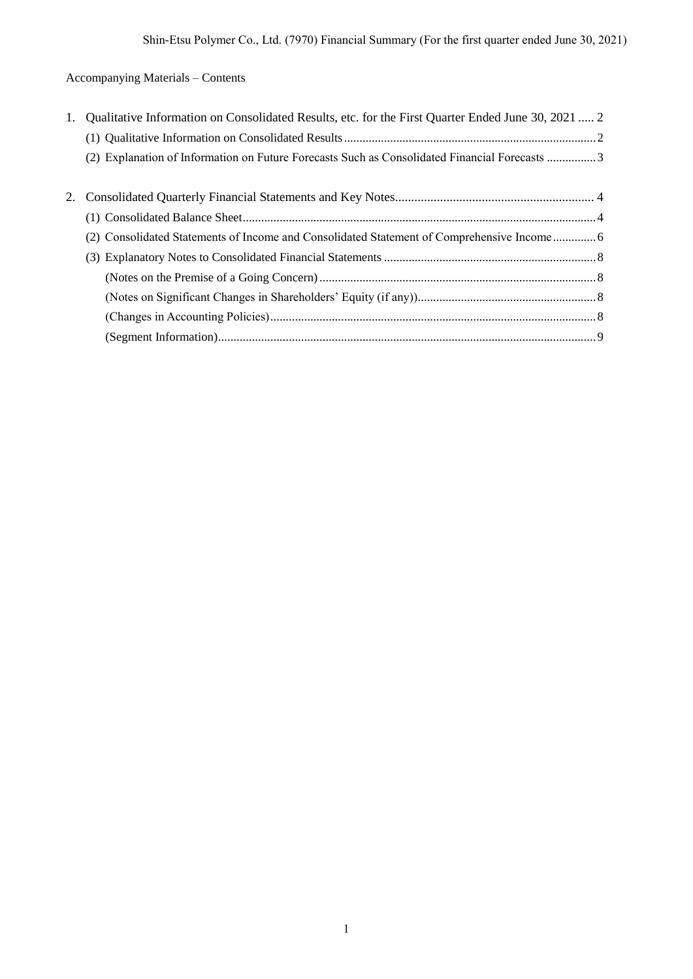# Accompanying Materials – Contents

| 1. | Qualitative Information on Consolidated Results, etc. for the First Quarter Ended June 30, 2021  2 |
|----|----------------------------------------------------------------------------------------------------|
|    |                                                                                                    |
|    | (2) Explanation of Information on Future Forecasts Such as Consolidated Financial Forecasts 3      |
|    |                                                                                                    |
|    |                                                                                                    |
|    |                                                                                                    |
|    | (2) Consolidated Statements of Income and Consolidated Statement of Comprehensive Income 6         |
|    |                                                                                                    |
|    |                                                                                                    |
|    |                                                                                                    |
|    |                                                                                                    |
|    |                                                                                                    |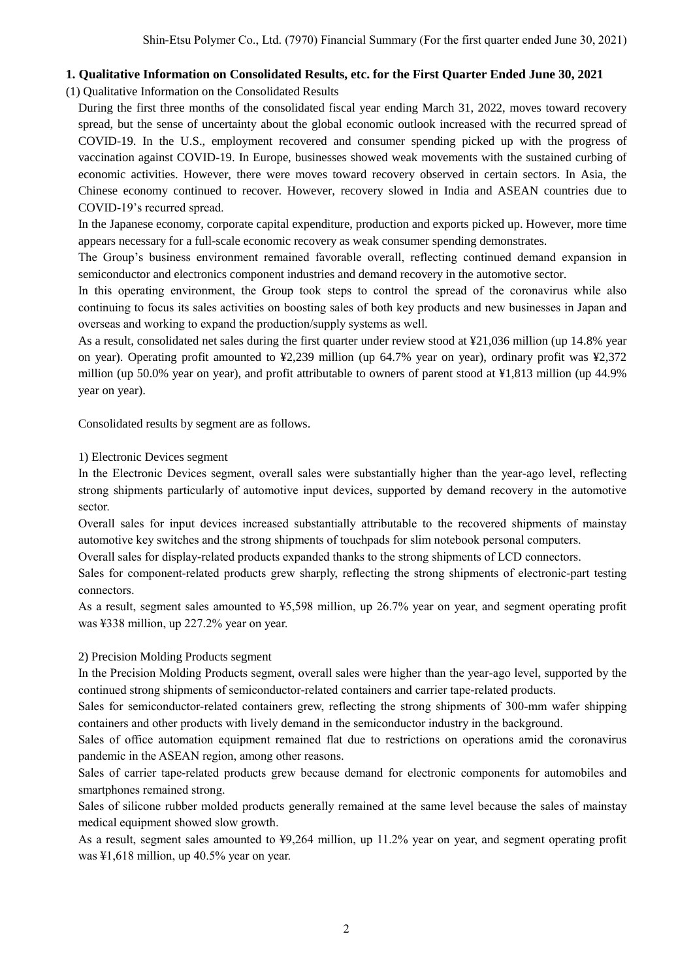# **1. Qualitative Information on Consolidated Results, etc. for the First Quarter Ended June 30, 2021**

(1) Qualitative Information on the Consolidated Results

During the first three months of the consolidated fiscal year ending March 31, 2022, moves toward recovery spread, but the sense of uncertainty about the global economic outlook increased with the recurred spread of COVID-19. In the U.S., employment recovered and consumer spending picked up with the progress of vaccination against COVID-19. In Europe, businesses showed weak movements with the sustained curbing of economic activities. However, there were moves toward recovery observed in certain sectors. In Asia, the Chinese economy continued to recover. However, recovery slowed in India and ASEAN countries due to COVID-19's recurred spread.

In the Japanese economy, corporate capital expenditure, production and exports picked up. However, more time appears necessary for a full-scale economic recovery as weak consumer spending demonstrates.

The Group's business environment remained favorable overall, reflecting continued demand expansion in semiconductor and electronics component industries and demand recovery in the automotive sector.

In this operating environment, the Group took steps to control the spread of the coronavirus while also continuing to focus its sales activities on boosting sales of both key products and new businesses in Japan and overseas and working to expand the production/supply systems as well.

As a result, consolidated net sales during the first quarter under review stood at ¥21,036 million (up 14.8% year on year). Operating profit amounted to ¥2,239 million (up 64.7% year on year), ordinary profit was ¥2,372 million (up 50.0% year on year), and profit attributable to owners of parent stood at ¥1,813 million (up 44.9% year on year).

Consolidated results by segment are as follows.

1) Electronic Devices segment

In the Electronic Devices segment, overall sales were substantially higher than the year-ago level, reflecting strong shipments particularly of automotive input devices, supported by demand recovery in the automotive sector.

Overall sales for input devices increased substantially attributable to the recovered shipments of mainstay automotive key switches and the strong shipments of touchpads for slim notebook personal computers.

Overall sales for display-related products expanded thanks to the strong shipments of LCD connectors.

Sales for component-related products grew sharply, reflecting the strong shipments of electronic-part testing connectors.

As a result, segment sales amounted to ¥5,598 million, up 26.7% year on year, and segment operating profit was ¥338 million, up 227.2% year on year.

### 2) Precision Molding Products segment

In the Precision Molding Products segment, overall sales were higher than the year-ago level, supported by the continued strong shipments of semiconductor-related containers and carrier tape-related products.

Sales for semiconductor-related containers grew, reflecting the strong shipments of 300-mm wafer shipping containers and other products with lively demand in the semiconductor industry in the background.

Sales of office automation equipment remained flat due to restrictions on operations amid the coronavirus pandemic in the ASEAN region, among other reasons.

Sales of carrier tape-related products grew because demand for electronic components for automobiles and smartphones remained strong.

Sales of silicone rubber molded products generally remained at the same level because the sales of mainstay medical equipment showed slow growth.

As a result, segment sales amounted to ¥9,264 million, up 11.2% year on year, and segment operating profit was ¥1,618 million, up 40.5% year on year.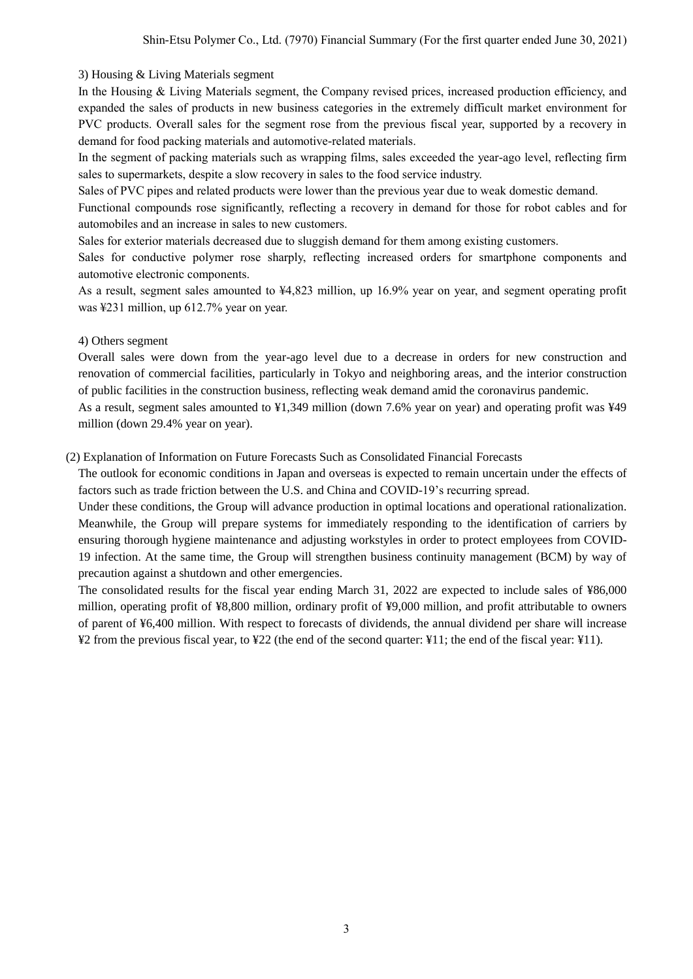### 3) Housing & Living Materials segment

In the Housing & Living Materials segment, the Company revised prices, increased production efficiency, and expanded the sales of products in new business categories in the extremely difficult market environment for PVC products. Overall sales for the segment rose from the previous fiscal year, supported by a recovery in demand for food packing materials and automotive-related materials.

In the segment of packing materials such as wrapping films, sales exceeded the year-ago level, reflecting firm sales to supermarkets, despite a slow recovery in sales to the food service industry.

Sales of PVC pipes and related products were lower than the previous year due to weak domestic demand.

Functional compounds rose significantly, reflecting a recovery in demand for those for robot cables and for automobiles and an increase in sales to new customers.

Sales for exterior materials decreased due to sluggish demand for them among existing customers.

Sales for conductive polymer rose sharply, reflecting increased orders for smartphone components and automotive electronic components.

As a result, segment sales amounted to ¥4,823 million, up 16.9% year on year, and segment operating profit was ¥231 million, up 612.7% year on year.

### 4) Others segment

Overall sales were down from the year-ago level due to a decrease in orders for new construction and renovation of commercial facilities, particularly in Tokyo and neighboring areas, and the interior construction of public facilities in the construction business, reflecting weak demand amid the coronavirus pandemic.

As a result, segment sales amounted to ¥1,349 million (down 7.6% year on year) and operating profit was ¥49 million (down 29.4% year on year).

### (2) Explanation of Information on Future Forecasts Such as Consolidated Financial Forecasts

The outlook for economic conditions in Japan and overseas is expected to remain uncertain under the effects of factors such as trade friction between the U.S. and China and COVID-19's recurring spread.

Under these conditions, the Group will advance production in optimal locations and operational rationalization. Meanwhile, the Group will prepare systems for immediately responding to the identification of carriers by ensuring thorough hygiene maintenance and adjusting workstyles in order to protect employees from COVID-19 infection. At the same time, the Group will strengthen business continuity management (BCM) by way of precaution against a shutdown and other emergencies.

The consolidated results for the fiscal year ending March 31, 2022 are expected to include sales of ¥86,000 million, operating profit of ¥8,800 million, ordinary profit of ¥9,000 million, and profit attributable to owners of parent of ¥6,400 million. With respect to forecasts of dividends, the annual dividend per share will increase ¥2 from the previous fiscal year, to ¥22 (the end of the second quarter: ¥11; the end of the fiscal year: ¥11).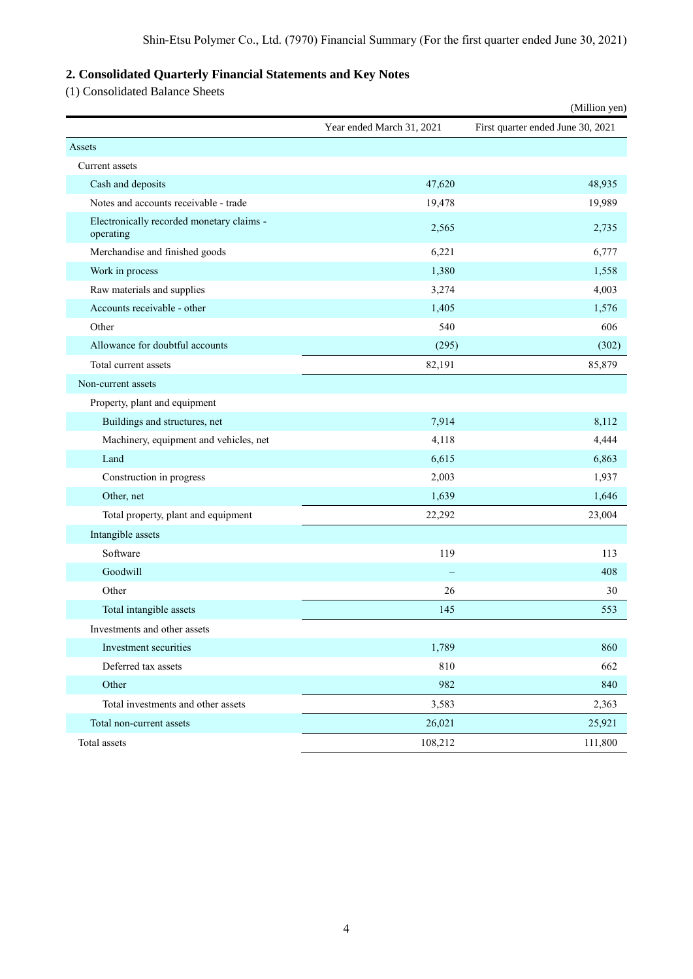# **2. Consolidated Quarterly Financial Statements and Key Notes**

(1) Consolidated Balance Sheets

|                                                        |                           | (Million yen)                     |
|--------------------------------------------------------|---------------------------|-----------------------------------|
|                                                        | Year ended March 31, 2021 | First quarter ended June 30, 2021 |
| Assets                                                 |                           |                                   |
| Current assets                                         |                           |                                   |
| Cash and deposits                                      | 47,620                    | 48,935                            |
| Notes and accounts receivable - trade                  | 19,478                    | 19,989                            |
| Electronically recorded monetary claims -<br>operating | 2,565                     | 2,735                             |
| Merchandise and finished goods                         | 6,221                     | 6,777                             |
| Work in process                                        | 1,380                     | 1,558                             |
| Raw materials and supplies                             | 3,274                     | 4,003                             |
| Accounts receivable - other                            | 1,405                     | 1,576                             |
| Other                                                  | 540                       | 606                               |
| Allowance for doubtful accounts                        | (295)                     | (302)                             |
| Total current assets                                   | 82,191                    | 85,879                            |
| Non-current assets                                     |                           |                                   |
| Property, plant and equipment                          |                           |                                   |
| Buildings and structures, net                          | 7,914                     | 8,112                             |
| Machinery, equipment and vehicles, net                 | 4,118                     | 4,444                             |
| Land                                                   | 6,615                     | 6,863                             |
| Construction in progress                               | 2,003                     | 1,937                             |
| Other, net                                             | 1,639                     | 1,646                             |
| Total property, plant and equipment                    | 22,292                    | 23,004                            |
| Intangible assets                                      |                           |                                   |
| Software                                               | 119                       | 113                               |
| Goodwill                                               |                           | 408                               |
| Other                                                  | 26                        | 30                                |
| Total intangible assets                                | 145                       | 553                               |
| Investments and other assets                           |                           |                                   |
| Investment securities                                  | 1,789                     | 860                               |
| Deferred tax assets                                    | 810                       | 662                               |
| Other                                                  | 982                       | 840                               |
| Total investments and other assets                     | 3,583                     | 2,363                             |
| Total non-current assets                               | 26,021                    | 25,921                            |
| Total assets                                           | 108,212                   | 111,800                           |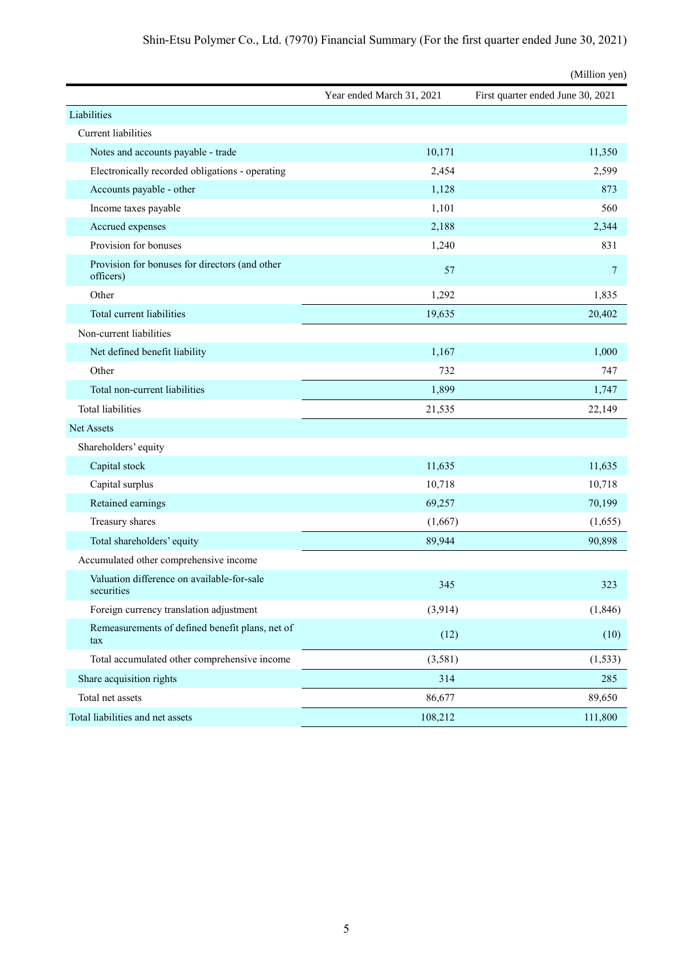|                                                             |                           | (Million yen)                     |
|-------------------------------------------------------------|---------------------------|-----------------------------------|
|                                                             | Year ended March 31, 2021 | First quarter ended June 30, 2021 |
| Liabilities                                                 |                           |                                   |
| Current liabilities                                         |                           |                                   |
| Notes and accounts payable - trade                          | 10,171                    | 11,350                            |
| Electronically recorded obligations - operating             | 2,454                     | 2,599                             |
| Accounts payable - other                                    | 1,128                     | 873                               |
| Income taxes payable                                        | 1,101                     | 560                               |
| Accrued expenses                                            | 2,188                     | 2,344                             |
| Provision for bonuses                                       | 1,240                     | 831                               |
| Provision for bonuses for directors (and other<br>officers) | 57                        | 7                                 |
| Other                                                       | 1,292                     | 1,835                             |
| Total current liabilities                                   | 19,635                    | 20,402                            |
| Non-current liabilities                                     |                           |                                   |
| Net defined benefit liability                               | 1,167                     | 1,000                             |
| Other                                                       | 732                       | 747                               |
| Total non-current liabilities                               | 1,899                     | 1,747                             |
| <b>Total liabilities</b>                                    | 21,535                    | 22,149                            |
| Net Assets                                                  |                           |                                   |
| Shareholders' equity                                        |                           |                                   |
| Capital stock                                               | 11,635                    | 11,635                            |
| Capital surplus                                             | 10,718                    | 10,718                            |
| Retained earnings                                           | 69,257                    | 70,199                            |
| Treasury shares                                             | (1,667)                   | (1,655)                           |
| Total shareholders' equity                                  | 89,944                    | 90,898                            |
| Accumulated other comprehensive income                      |                           |                                   |
| Valuation difference on available-for-sale<br>securities    | 345                       | 323                               |
| Foreign currency translation adjustment                     | (3,914)                   | (1, 846)                          |
| Remeasurements of defined benefit plans, net of<br>tax      | (12)                      | (10)                              |
| Total accumulated other comprehensive income                | (3,581)                   | (1, 533)                          |
| Share acquisition rights                                    | 314                       | 285                               |
| Total net assets                                            | 86,677                    | 89,650                            |
| Total liabilities and net assets                            | 108,212                   | 111,800                           |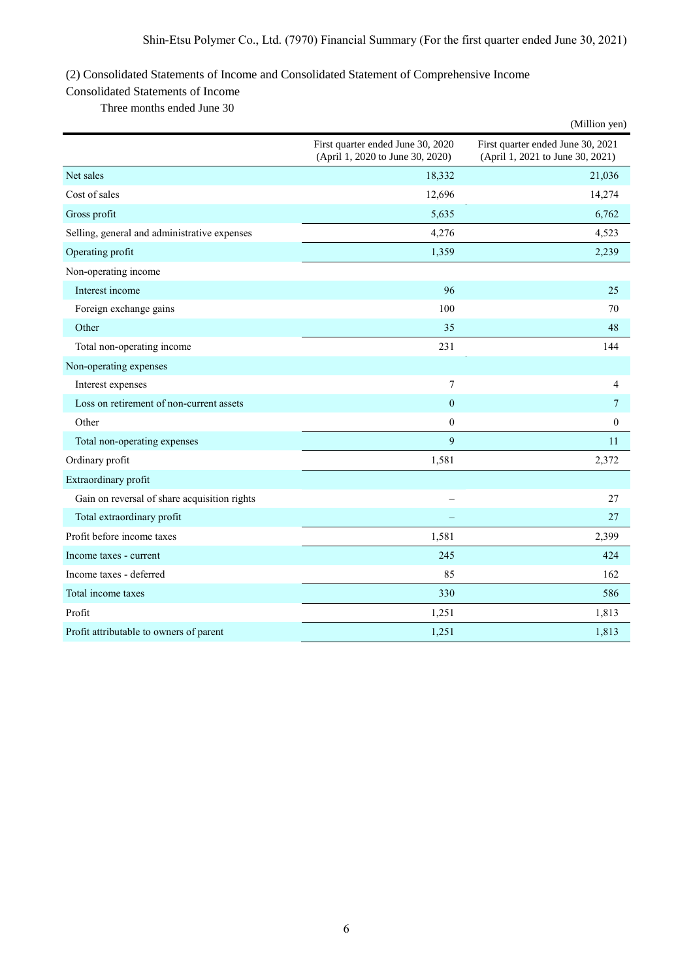# (2) Consolidated Statements of Income and Consolidated Statement of Comprehensive Income

# Consolidated Statements of Income

Three months ended June 30

|                                              |                                                                       | (Million yen)                                                         |
|----------------------------------------------|-----------------------------------------------------------------------|-----------------------------------------------------------------------|
|                                              | First quarter ended June 30, 2020<br>(April 1, 2020 to June 30, 2020) | First quarter ended June 30, 2021<br>(April 1, 2021 to June 30, 2021) |
| Net sales                                    | 18,332                                                                | 21,036                                                                |
| Cost of sales                                | 12,696                                                                | 14,274                                                                |
| Gross profit                                 | 5,635                                                                 | 6,762                                                                 |
| Selling, general and administrative expenses | 4,276                                                                 | 4,523                                                                 |
| Operating profit                             | 1,359                                                                 | 2,239                                                                 |
| Non-operating income                         |                                                                       |                                                                       |
| Interest income                              | 96                                                                    | 25                                                                    |
| Foreign exchange gains                       | 100                                                                   | 70                                                                    |
| Other                                        | 35                                                                    | 48                                                                    |
| Total non-operating income                   | 231                                                                   | 144                                                                   |
| Non-operating expenses                       |                                                                       |                                                                       |
| Interest expenses                            | 7                                                                     | 4                                                                     |
| Loss on retirement of non-current assets     | $\mathbf{0}$                                                          | 7                                                                     |
| Other                                        | $\mathbf{0}$                                                          | $\boldsymbol{0}$                                                      |
| Total non-operating expenses                 | 9                                                                     | 11                                                                    |
| Ordinary profit                              | 1,581                                                                 | 2,372                                                                 |
| Extraordinary profit                         |                                                                       |                                                                       |
| Gain on reversal of share acquisition rights |                                                                       | 27                                                                    |
| Total extraordinary profit                   |                                                                       | 27                                                                    |
| Profit before income taxes                   | 1,581                                                                 | 2,399                                                                 |
| Income taxes - current                       | 245                                                                   | 424                                                                   |
| Income taxes - deferred                      | 85                                                                    | 162                                                                   |
| Total income taxes                           | 330                                                                   | 586                                                                   |
| Profit                                       | 1,251                                                                 | 1,813                                                                 |
| Profit attributable to owners of parent      | 1,251                                                                 | 1,813                                                                 |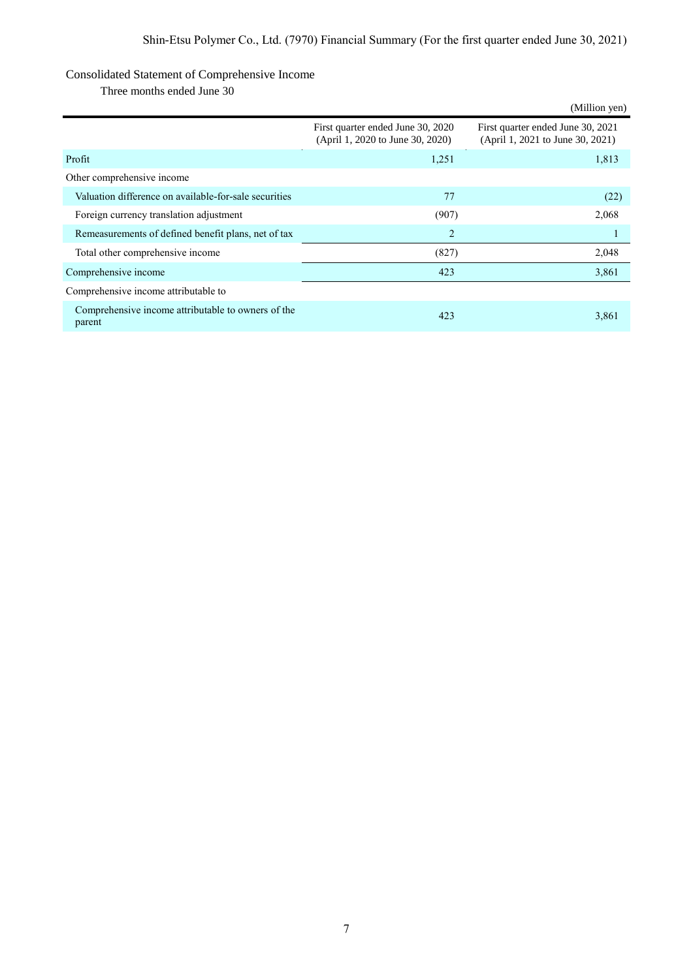# Consolidated Statement of Comprehensive Income

Three months ended June 30

|                                                              |                                                                       | (Million yen)                                                         |
|--------------------------------------------------------------|-----------------------------------------------------------------------|-----------------------------------------------------------------------|
|                                                              | First quarter ended June 30, 2020<br>(April 1, 2020 to June 30, 2020) | First quarter ended June 30, 2021<br>(April 1, 2021 to June 30, 2021) |
| Profit                                                       | 1,251                                                                 | 1,813                                                                 |
| Other comprehensive income                                   |                                                                       |                                                                       |
| Valuation difference on available-for-sale securities        | 77                                                                    | (22)                                                                  |
| Foreign currency translation adjustment                      | (907)                                                                 | 2,068                                                                 |
| Remeasurements of defined benefit plans, net of tax          | $\overline{c}$                                                        |                                                                       |
| Total other comprehensive income                             | (827)                                                                 | 2,048                                                                 |
| Comprehensive income                                         | 423                                                                   | 3,861                                                                 |
| Comprehensive income attributable to                         |                                                                       |                                                                       |
| Comprehensive income attributable to owners of the<br>parent | 423                                                                   | 3,861                                                                 |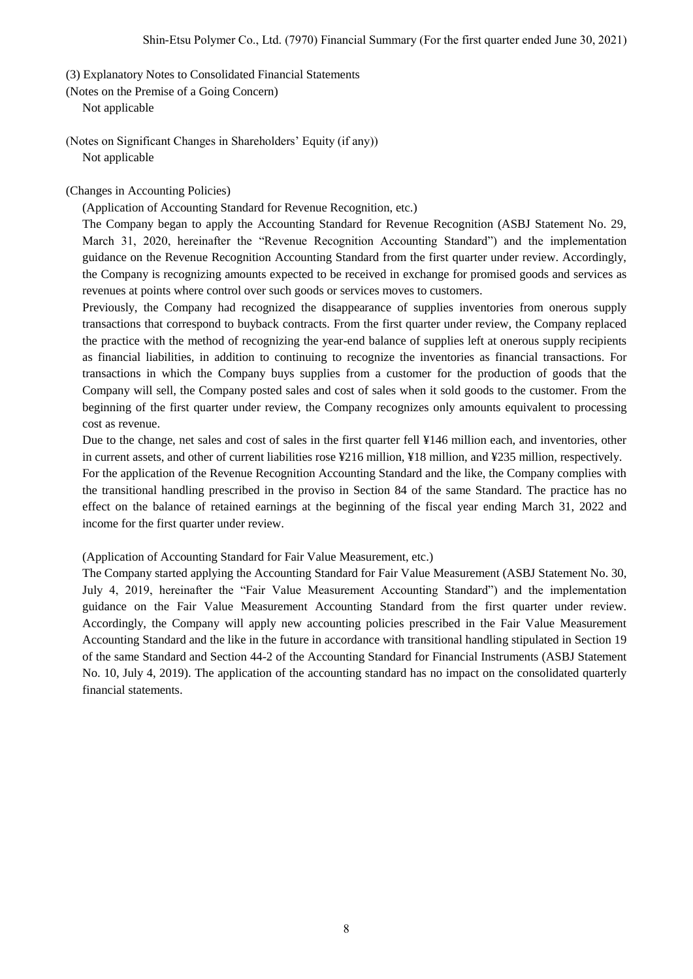(3) Explanatory Notes to Consolidated Financial Statements

(Notes on the Premise of a Going Concern)

Not applicable

(Notes on Significant Changes in Shareholders' Equity (if any)) Not applicable

(Changes in Accounting Policies)

(Application of Accounting Standard for Revenue Recognition, etc.)

The Company began to apply the Accounting Standard for Revenue Recognition (ASBJ Statement No. 29, March 31, 2020, hereinafter the "Revenue Recognition Accounting Standard") and the implementation guidance on the Revenue Recognition Accounting Standard from the first quarter under review. Accordingly, the Company is recognizing amounts expected to be received in exchange for promised goods and services as revenues at points where control over such goods or services moves to customers.

Previously, the Company had recognized the disappearance of supplies inventories from onerous supply transactions that correspond to buyback contracts. From the first quarter under review, the Company replaced the practice with the method of recognizing the year-end balance of supplies left at onerous supply recipients as financial liabilities, in addition to continuing to recognize the inventories as financial transactions. For transactions in which the Company buys supplies from a customer for the production of goods that the Company will sell, the Company posted sales and cost of sales when it sold goods to the customer. From the beginning of the first quarter under review, the Company recognizes only amounts equivalent to processing cost as revenue.

Due to the change, net sales and cost of sales in the first quarter fell ¥146 million each, and inventories, other in current assets, and other of current liabilities rose ¥216 million, ¥18 million, and ¥235 million, respectively.

For the application of the Revenue Recognition Accounting Standard and the like, the Company complies with the transitional handling prescribed in the proviso in Section 84 of the same Standard. The practice has no effect on the balance of retained earnings at the beginning of the fiscal year ending March 31, 2022 and income for the first quarter under review.

(Application of Accounting Standard for Fair Value Measurement, etc.)

The Company started applying the Accounting Standard for Fair Value Measurement (ASBJ Statement No. 30, July 4, 2019, hereinafter the "Fair Value Measurement Accounting Standard") and the implementation guidance on the Fair Value Measurement Accounting Standard from the first quarter under review. Accordingly, the Company will apply new accounting policies prescribed in the Fair Value Measurement Accounting Standard and the like in the future in accordance with transitional handling stipulated in Section 19 of the same Standard and Section 44-2 of the Accounting Standard for Financial Instruments (ASBJ Statement No. 10, July 4, 2019). The application of the accounting standard has no impact on the consolidated quarterly financial statements.